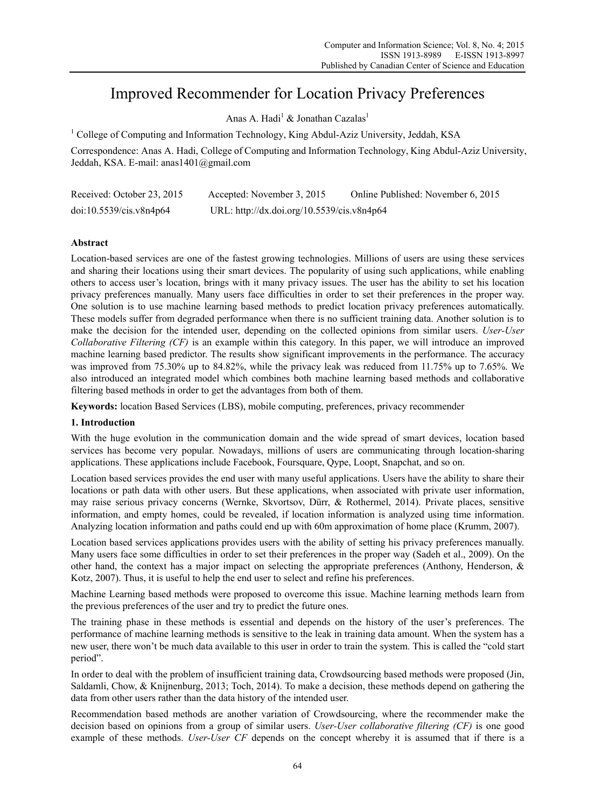# Improved Recommender for Location Privacy Preferences

Anas A. Hadi $^{\rm l}$  & Jonathan Cazalas $^{\rm l}$ 

<sup>1</sup> College of Computing and Information Technology, King Abdul-Aziz University, Jeddah, KSA

Correspondence: Anas A. Hadi, College of Computing and Information Technology, King Abdul-Aziz University, Jeddah, KSA. E-mail: anas1401@gmail.com

| Received: October 23, 2015 | Accepted: November 3, 2015                 | Online Published: November 6, 2015 |
|----------------------------|--------------------------------------------|------------------------------------|
| doi:10.5539/cis.v8n4p64    | URL: http://dx.doi.org/10.5539/cis.v8n4p64 |                                    |

# **Abstract**

Location-based services are one of the fastest growing technologies. Millions of users are using these services and sharing their locations using their smart devices. The popularity of using such applications, while enabling others to access user's location, brings with it many privacy issues. The user has the ability to set his location privacy preferences manually. Many users face difficulties in order to set their preferences in the proper way. One solution is to use machine learning based methods to predict location privacy preferences automatically. These models suffer from degraded performance when there is no sufficient training data. Another solution is to make the decision for the intended user, depending on the collected opinions from similar users. *User-User Collaborative Filtering (CF)* is an example within this category. In this paper, we will introduce an improved machine learning based predictor. The results show significant improvements in the performance. The accuracy was improved from 75.30% up to 84.82%, while the privacy leak was reduced from 11.75% up to 7.65%. We also introduced an integrated model which combines both machine learning based methods and collaborative filtering based methods in order to get the advantages from both of them.

**Keywords:** location Based Services (LBS), mobile computing, preferences, privacy recommender

## **1. Introduction**

With the huge evolution in the communication domain and the wide spread of smart devices, location based services has become very popular. Nowadays, millions of users are communicating through location-sharing applications. These applications include Facebook, Foursquare, Qype, Loopt, Snapchat, and so on.

Location based services provides the end user with many useful applications. Users have the ability to share their locations or path data with other users. But these applications, when associated with private user information, may raise serious privacy concerns (Wernke, Skvortsov, Dürr, & Rothermel, 2014). Private places, sensitive information, and empty homes, could be revealed, if location information is analyzed using time information. Analyzing location information and paths could end up with 60m approximation of home place (Krumm, 2007).

Location based services applications provides users with the ability of setting his privacy preferences manually. Many users face some difficulties in order to set their preferences in the proper way (Sadeh et al., 2009). On the other hand, the context has a major impact on selecting the appropriate preferences (Anthony, Henderson, & Kotz, 2007). Thus, it is useful to help the end user to select and refine his preferences.

Machine Learning based methods were proposed to overcome this issue. Machine learning methods learn from the previous preferences of the user and try to predict the future ones.

The training phase in these methods is essential and depends on the history of the user's preferences. The performance of machine learning methods is sensitive to the leak in training data amount. When the system has a new user, there won't be much data available to this user in order to train the system. This is called the "cold start period".

In order to deal with the problem of insufficient training data, Crowdsourcing based methods were proposed (Jin, Saldamli, Chow, & Knijnenburg, 2013; Toch, 2014). To make a decision, these methods depend on gathering the data from other users rather than the data history of the intended user.

Recommendation based methods are another variation of Crowdsourcing, where the recommender make the decision based on opinions from a group of similar users. *User-User collaborative filtering (CF)* is one good example of these methods. *User-User CF* depends on the concept whereby it is assumed that if there is a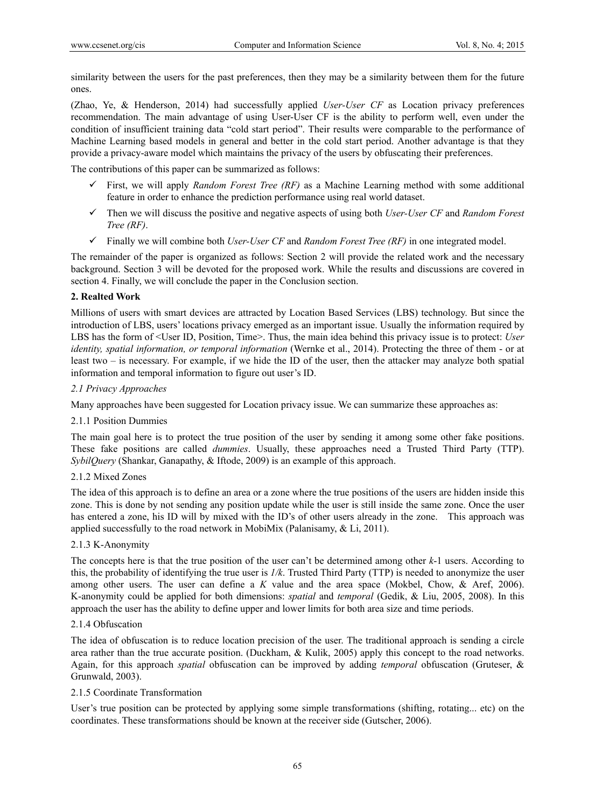similarity between the users for the past preferences, then they may be a similarity between them for the future ones.

(Zhao, Ye, & Henderson, 2014) had successfully applied *User-User CF* as Location privacy preferences recommendation. The main advantage of using User-User CF is the ability to perform well, even under the condition of insufficient training data "cold start period". Their results were comparable to the performance of Machine Learning based models in general and better in the cold start period. Another advantage is that they provide a privacy-aware model which maintains the privacy of the users by obfuscating their preferences.

The contributions of this paper can be summarized as follows:

- $\checkmark$  First, we will apply *Random Forest Tree (RF)* as a Machine Learning method with some additional feature in order to enhance the prediction performance using real world dataset.
- Then we will discuss the positive and negative aspects of using both *User-User CF* and *Random Forest Tree (RF)*.
- Finally we will combine both *User-User CF* and *Random Forest Tree (RF)* in one integrated model.

The remainder of the paper is organized as follows: Section 2 will provide the related work and the necessary background. Section 3 will be devoted for the proposed work. While the results and discussions are covered in section 4. Finally, we will conclude the paper in the Conclusion section.

# **2. Realted Work**

Millions of users with smart devices are attracted by Location Based Services (LBS) technology. But since the introduction of LBS, users' locations privacy emerged as an important issue. Usually the information required by LBS has the form of <User ID, Position, Time>. Thus, the main idea behind this privacy issue is to protect: *User identity, spatial information, or temporal information* (Wernke et al., 2014). Protecting the three of them - or at least two – is necessary. For example, if we hide the ID of the user, then the attacker may analyze both spatial information and temporal information to figure out user's ID.

# *2.1 Privacy Approaches*

Many approaches have been suggested for Location privacy issue. We can summarize these approaches as:

## 2.1.1 Position Dummies

The main goal here is to protect the true position of the user by sending it among some other fake positions. These fake positions are called *dummies*. Usually, these approaches need a Trusted Third Party (TTP). *SybilQuery* (Shankar, Ganapathy, & Iftode, 2009) is an example of this approach.

# 2.1.2 Mixed Zones

The idea of this approach is to define an area or a zone where the true positions of the users are hidden inside this zone. This is done by not sending any position update while the user is still inside the same zone. Once the user has entered a zone, his ID will by mixed with the ID's of other users already in the zone. This approach was applied successfully to the road network in MobiMix (Palanisamy, & Li, 2011).

## 2.1.3 K-Anonymity

The concepts here is that the true position of the user can't be determined among other *k*-1 users. According to this, the probability of identifying the true user is *1/k*. Trusted Third Party (TTP) is needed to anonymize the user among other users. The user can define a *K* value and the area space (Mokbel, Chow, & Aref, 2006). K-anonymity could be applied for both dimensions: *spatial* and *temporal* (Gedik, & Liu, 2005, 2008). In this approach the user has the ability to define upper and lower limits for both area size and time periods.

# 2.1.4 Obfuscation

The idea of obfuscation is to reduce location precision of the user. The traditional approach is sending a circle area rather than the true accurate position. (Duckham, & Kulik, 2005) apply this concept to the road networks. Again, for this approach *spatial* obfuscation can be improved by adding *temporal* obfuscation (Gruteser, & Grunwald, 2003).

# 2.1.5 Coordinate Transformation

User's true position can be protected by applying some simple transformations (shifting, rotating... etc) on the coordinates. These transformations should be known at the receiver side (Gutscher, 2006).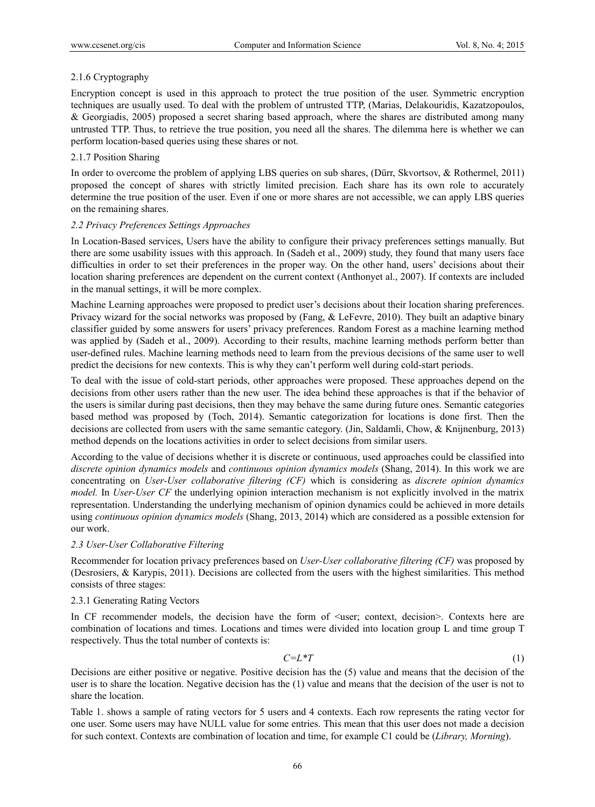# 2.1.6 Cryptography

Encryption concept is used in this approach to protect the true position of the user. Symmetric encryption techniques are usually used. To deal with the problem of untrusted TTP, (Marias, Delakouridis, Kazatzopoulos, & Georgiadis, 2005) proposed a secret sharing based approach, where the shares are distributed among many untrusted TTP. Thus, to retrieve the true position, you need all the shares. The dilemma here is whether we can perform location-based queries using these shares or not.

# 2.1.7 Position Sharing

In order to overcome the problem of applying LBS queries on sub shares, (Dürr, Skvortsov, & Rothermel, 2011) proposed the concept of shares with strictly limited precision. Each share has its own role to accurately determine the true position of the user. Even if one or more shares are not accessible, we can apply LBS queries on the remaining shares.

## *2.2 Privacy Preferences Settings Approaches*

In Location-Based services, Users have the ability to configure their privacy preferences settings manually. But there are some usability issues with this approach. In (Sadeh et al., 2009) study, they found that many users face difficulties in order to set their preferences in the proper way. On the other hand, users' decisions about their location sharing preferences are dependent on the current context (Anthonyet al., 2007). If contexts are included in the manual settings, it will be more complex.

Machine Learning approaches were proposed to predict user's decisions about their location sharing preferences. Privacy wizard for the social networks was proposed by (Fang, & LeFevre, 2010). They built an adaptive binary classifier guided by some answers for users' privacy preferences. Random Forest as a machine learning method was applied by (Sadeh et al., 2009). According to their results, machine learning methods perform better than user-defined rules. Machine learning methods need to learn from the previous decisions of the same user to well predict the decisions for new contexts. This is why they can't perform well during cold-start periods.

To deal with the issue of cold-start periods, other approaches were proposed. These approaches depend on the decisions from other users rather than the new user. The idea behind these approaches is that if the behavior of the users is similar during past decisions, then they may behave the same during future ones. Semantic categories based method was proposed by (Toch, 2014). Semantic categorization for locations is done first. Then the decisions are collected from users with the same semantic category. (Jin, Saldamli, Chow, & Knijnenburg, 2013) method depends on the locations activities in order to select decisions from similar users.

According to the value of decisions whether it is discrete or continuous, used approaches could be classified into *discrete opinion dynamics models* and *continuous opinion dynamics models* (Shang, 2014). In this work we are concentrating on *User-User collaborative filtering (CF)* which is considering as *discrete opinion dynamics model.* In *User-User CF* the underlying opinion interaction mechanism is not explicitly involved in the matrix representation. Understanding the underlying mechanism of opinion dynamics could be achieved in more details using *continuous opinion dynamics models* (Shang, 2013, 2014) which are considered as a possible extension for our work.

## *2.3 User-User Collaborative Filtering*

Recommender for location privacy preferences based on *User-User collaborative filtering (CF)* was proposed by (Desrosiers, & Karypis, 2011). Decisions are collected from the users with the highest similarities. This method consists of three stages:

## 2.3.1 Generating Rating Vectors

In CF recommender models, the decision have the form of  $\leq$ user; context, decision $\geq$ . Contexts here are combination of locations and times. Locations and times were divided into location group L and time group T respectively. Thus the total number of contexts is:

$$
C = L^*T \tag{1}
$$

Decisions are either positive or negative. Positive decision has the (5) value and means that the decision of the user is to share the location. Negative decision has the (1) value and means that the decision of the user is not to share the location.

Table 1. shows a sample of rating vectors for 5 users and 4 contexts. Each row represents the rating vector for one user. Some users may have NULL value for some entries. This mean that this user does not made a decision for such context. Contexts are combination of location and time, for example C1 could be (*Library, Morning*).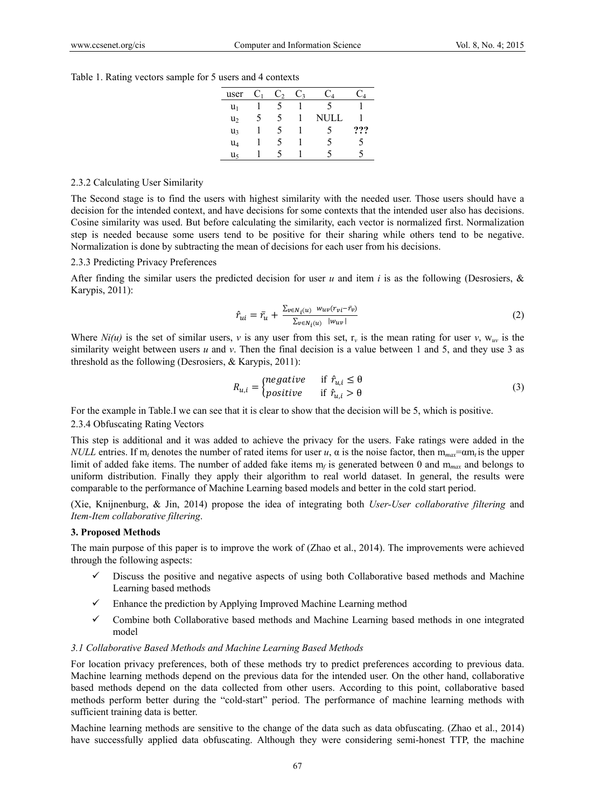Table 1. Rating vectors sample for 5 users and 4 contexts

| user           | $\mathbf{C}_1$ | C, | C3 | $C_4$ | $\mathcal{A}$ |
|----------------|----------------|----|----|-------|---------------|
| $u_1$          |                |    |    |       |               |
| u <sub>2</sub> | 5              | 5  |    | NULL  |               |
| u,             |                | 5  |    |       | ???           |
| $u_4$          |                | 5  |    | 5     | 5             |
| u٢             |                |    |    |       |               |

#### 2.3.2 Calculating User Similarity

The Second stage is to find the users with highest similarity with the needed user. Those users should have a decision for the intended context, and have decisions for some contexts that the intended user also has decisions. Cosine similarity was used. But before calculating the similarity, each vector is normalized first. Normalization step is needed because some users tend to be positive for their sharing while others tend to be negative. Normalization is done by subtracting the mean of decisions for each user from his decisions.

#### 2.3.3 Predicting Privacy Preferences

After finding the similar users the predicted decision for user  $u$  and item  $i$  is as the following (Desrosiers,  $\&$ Karypis, 2011):

$$
\hat{r}_{ui} = \bar{r}_u + \frac{\sum_{v \in N_i(u)} w_{uv}(r_{vi} - \bar{r}_v)}{\sum_{v \in N_i(u)} |w_{uv}|}
$$
\n
$$
(2)
$$

Where  $Ni(u)$  is the set of similar users, *v* is any user from this set,  $r_v$  is the mean rating for user *v*,  $w_{uv}$  is the similarity weight between users *u* and *v*. Then the final decision is a value between 1 and 5, and they use 3 as threshold as the following (Desrosiers, & Karypis, 2011):

$$
R_{u,i} = \begin{cases} negative & \text{if } \hat{r}_{u,i} \leq \theta \\ positive & \text{if } \hat{r}_{u,i} > \theta \end{cases}
$$
 (3)

For the example in Table.I we can see that it is clear to show that the decision will be 5, which is positive.

### 2.3.4 Obfuscating Rating Vectors

This step is additional and it was added to achieve the privacy for the users. Fake ratings were added in the *NULL* entries. If  $m_t$  denotes the number of rated items for user *u*,  $\alpha$  is the noise factor, then  $m_{max} = \alpha m_t$  is the upper limit of added fake items. The number of added fake items  $m_f$  is generated between 0 and  $m_{max}$  and belongs to uniform distribution. Finally they apply their algorithm to real world dataset. In general, the results were comparable to the performance of Machine Learning based models and better in the cold start period.

(Xie, Knijnenburg, & Jin, 2014) propose the idea of integrating both *User-User collaborative filtering* and *Item-Item collaborative filtering*.

#### **3. Proposed Methods**

The main purpose of this paper is to improve the work of (Zhao et al., 2014). The improvements were achieved through the following aspects:

- Discuss the positive and negative aspects of using both Collaborative based methods and Machine Learning based methods
- $\checkmark$  Enhance the prediction by Applying Improved Machine Learning method
- $\checkmark$  Combine both Collaborative based methods and Machine Learning based methods in one integrated model

#### *3.1 Collaborative Based Methods and Machine Learning Based Methods*

For location privacy preferences, both of these methods try to predict preferences according to previous data. Machine learning methods depend on the previous data for the intended user. On the other hand, collaborative based methods depend on the data collected from other users. According to this point, collaborative based methods perform better during the "cold-start" period. The performance of machine learning methods with sufficient training data is better.

Machine learning methods are sensitive to the change of the data such as data obfuscating. (Zhao et al., 2014) have successfully applied data obfuscating. Although they were considering semi-honest TTP, the machine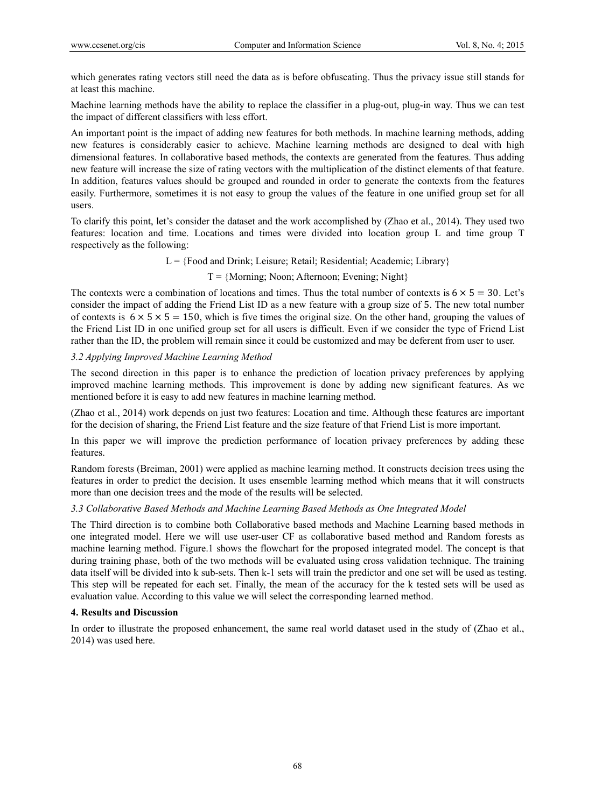which generates rating vectors still need the data as is before obfuscating. Thus the privacy issue still stands for at least this machine.

Machine learning methods have the ability to replace the classifier in a plug-out, plug-in way. Thus we can test the impact of different classifiers with less effort.

An important point is the impact of adding new features for both methods. In machine learning methods, adding new features is considerably easier to achieve. Machine learning methods are designed to deal with high dimensional features. In collaborative based methods, the contexts are generated from the features. Thus adding new feature will increase the size of rating vectors with the multiplication of the distinct elements of that feature. In addition, features values should be grouped and rounded in order to generate the contexts from the features easily. Furthermore, sometimes it is not easy to group the values of the feature in one unified group set for all users.

To clarify this point, let's consider the dataset and the work accomplished by (Zhao et al., 2014). They used two features: location and time. Locations and times were divided into location group L and time group T respectively as the following:

 $L = {Food and Drink; Leisure; Retail; Residental; Academic; Library}$ 

## $T = \{Morming; Noon; Afternoon; Evening; Night\}$

The contexts were a combination of locations and times. Thus the total number of contexts is  $6 \times 5 = 30$ . Let's consider the impact of adding the Friend List ID as a new feature with a group size of 5. The new total number of contexts is  $6 \times 5 \times 5 = 150$ , which is five times the original size. On the other hand, grouping the values of the Friend List ID in one unified group set for all users is difficult. Even if we consider the type of Friend List rather than the ID, the problem will remain since it could be customized and may be deferent from user to user.

# *3.2 Applying Improved Machine Learning Method*

The second direction in this paper is to enhance the prediction of location privacy preferences by applying improved machine learning methods. This improvement is done by adding new significant features. As we mentioned before it is easy to add new features in machine learning method.

(Zhao et al., 2014) work depends on just two features: Location and time. Although these features are important for the decision of sharing, the Friend List feature and the size feature of that Friend List is more important.

In this paper we will improve the prediction performance of location privacy preferences by adding these features.

Random forests (Breiman, 2001) were applied as machine learning method. It constructs decision trees using the features in order to predict the decision. It uses ensemble learning method which means that it will constructs more than one decision trees and the mode of the results will be selected.

## *3.3 Collaborative Based Methods and Machine Learning Based Methods as One Integrated Model*

The Third direction is to combine both Collaborative based methods and Machine Learning based methods in one integrated model. Here we will use user-user CF as collaborative based method and Random forests as machine learning method. Figure.1 shows the flowchart for the proposed integrated model. The concept is that during training phase, both of the two methods will be evaluated using cross validation technique. The training data itself will be divided into k sub-sets. Then k-1 sets will train the predictor and one set will be used as testing. This step will be repeated for each set. Finally, the mean of the accuracy for the k tested sets will be used as evaluation value. According to this value we will select the corresponding learned method.

## **4. Results and Discussion**

In order to illustrate the proposed enhancement, the same real world dataset used in the study of (Zhao et al., 2014) was used here.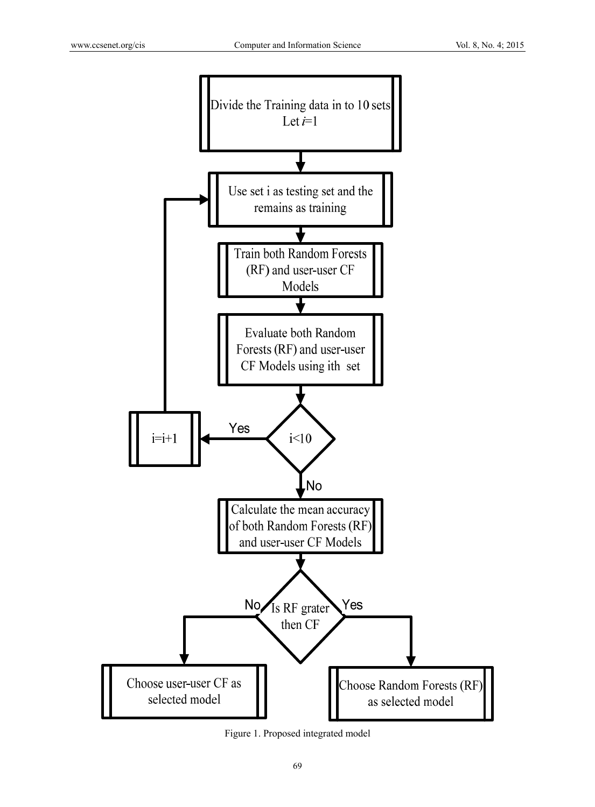

Figure 1. Proposed integrated model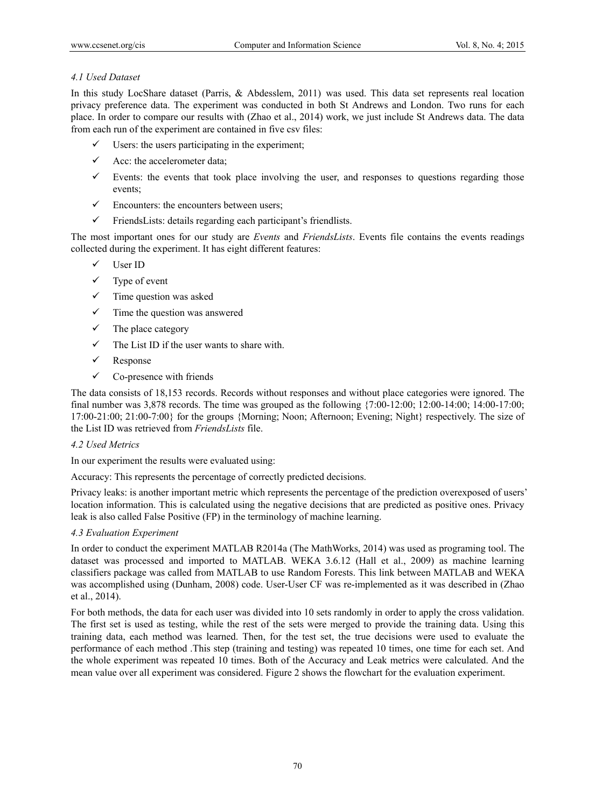# *4.1 Used Dataset*

In this study LocShare dataset (Parris, & Abdesslem, 2011) was used. This data set represents real location privacy preference data. The experiment was conducted in both St Andrews and London. Two runs for each place. In order to compare our results with (Zhao et al., 2014) work, we just include St Andrews data. The data from each run of the experiment are contained in five csv files:

- $\checkmark$  Users: the users participating in the experiment;
- $\checkmark$  Acc: the accelerometer data;
- Events: the events that took place involving the user, and responses to questions regarding those events;
- $\checkmark$  Encounters: the encounters between users:
- $\checkmark$  FriendsLists: details regarding each participant's friendlists.

The most important ones for our study are *Events* and *FriendsLists*. Events file contains the events readings collected during the experiment. It has eight different features:

- $\checkmark$  User ID
- $\checkmark$  Type of event
- $\checkmark$  Time question was asked
- $\checkmark$  Time the question was answered
- $\checkmark$  The place category
- $\checkmark$  The List ID if the user wants to share with.
- $\checkmark$  Response
- $\checkmark$  Co-presence with friends

The data consists of 18,153 records. Records without responses and without place categories were ignored. The final number was 3,878 records. The time was grouped as the following  $\{7:00-12:00; 12:00-14:00; 14:00-17:00; 14:00-17:00; 14:00-17:00\}$ 17:00-21:00; 21:00-7:00} for the groups {Morning; Noon; Afternoon; Evening; Night} respectively. The size of the List ID was retrieved from *FriendsLists* file.

## *4.2 Used Metrics*

In our experiment the results were evaluated using:

Accuracy: This represents the percentage of correctly predicted decisions.

Privacy leaks: is another important metric which represents the percentage of the prediction overexposed of users' location information. This is calculated using the negative decisions that are predicted as positive ones. Privacy leak is also called False Positive (FP) in the terminology of machine learning.

## *4.3 Evaluation Experiment*

In order to conduct the experiment MATLAB R2014a (The MathWorks, 2014) was used as programing tool. The dataset was processed and imported to MATLAB. WEKA 3.6.12 (Hall et al., 2009) as machine learning classifiers package was called from MATLAB to use Random Forests. This link between MATLAB and WEKA was accomplished using (Dunham, 2008) code. User-User CF was re-implemented as it was described in (Zhao et al., 2014).

For both methods, the data for each user was divided into 10 sets randomly in order to apply the cross validation. The first set is used as testing, while the rest of the sets were merged to provide the training data. Using this training data, each method was learned. Then, for the test set, the true decisions were used to evaluate the performance of each method .This step (training and testing) was repeated 10 times, one time for each set. And the whole experiment was repeated 10 times. Both of the Accuracy and Leak metrics were calculated. And the mean value over all experiment was considered. Figure 2 shows the flowchart for the evaluation experiment.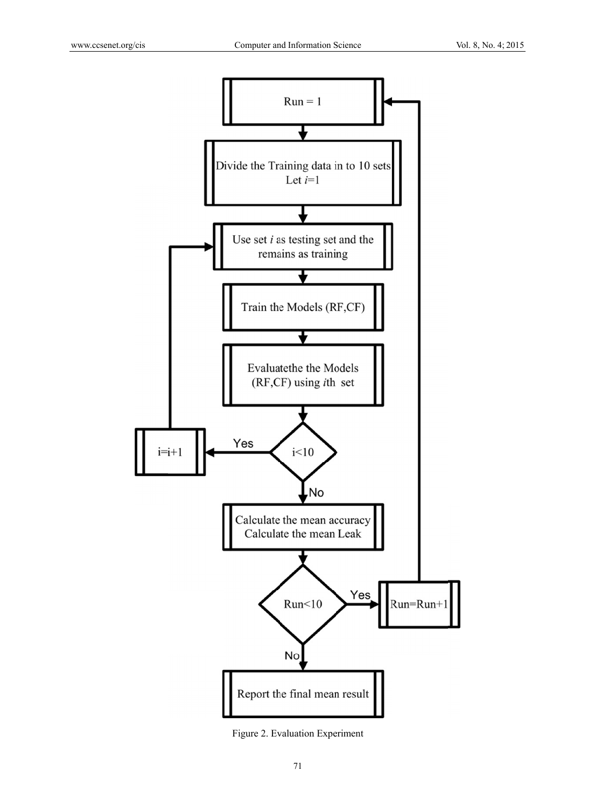

Figure 2. Ev aluation Expe riment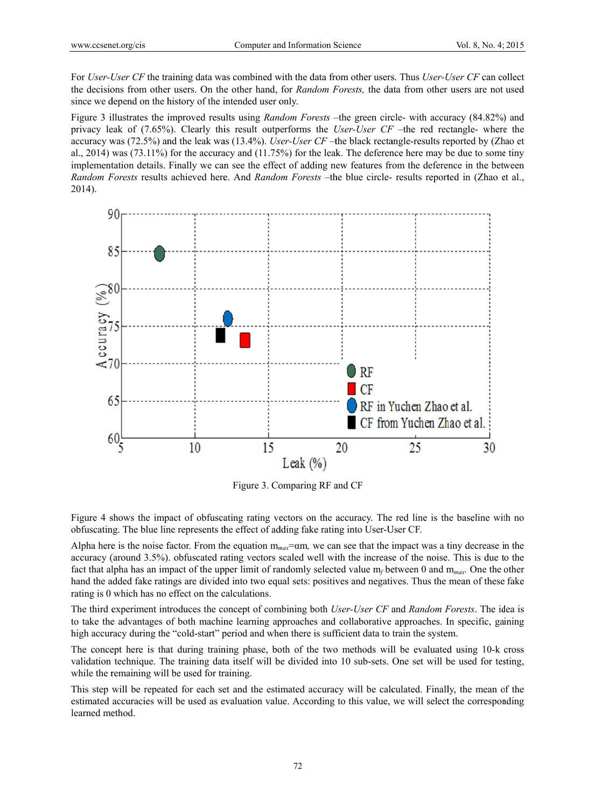For *User-User CF* the training data was combined with the data from other users. Thus *User-User CF* can collect the decisions from other users. On the other hand, for *Random Forests*, the data from other users are not used since we depend on the history of the intended user only.

Figure 3 illustrates the improved results using *Random Forests* – the green circle- with accuracy (84.82%) and privacy leak of (7.65%). Clearly this result outperforms the *User-User CF* –the red rectangle- where the accuracy was (72.5%) and the leak was (13.4%). *User-User CF* –the black rectangle-results reported by (Zhao et al.,  $2014$ ) was  $(73.11%)$  for the accuracy and  $(11.75%)$  for the leak. The deference here may be due to some tiny implementation details. Finally we can see the effect of adding new features from the deference in the between Random Forests results achieved here. And *Random Forests* -the blue circle- results reported in (Zhao et al., 2014).



Figure 3. Comparing RF and CF

Figure 4 shows the impact of obfuscating rating vectors on the accuracy. The red line is the baseline with no obfuscating. The blue line represents the effect of adding fake rating into User-User CF.

Alpha here is the noise factor. From the equation  $m_{max} = \alpha m$ , we can see that the impact was a tiny decrease in the accuracy (around 3.5%). obfuscated rating vectors scaled well with the increase of the noise. This is due to the fact that alpha has an impact of the upper limit of randomly selected value m<sub>/</sub> between 0 and m<sub>max</sub>. One the other hand the added fake ratings are divided into two equal sets: positives and negatives. Thus the mean of these fake rating is 0 which has no effect on the calculations.

The third experiment introduces the concept of combining both *User-User CF* and *Random Forests*. The idea is to take the advantages of both machine learning approaches and collaborative approaches. In specific, gaining high accuracy during the "cold-start" period and when there is sufficient data to train the system.

The concept here is that during training phase, both of the two methods will be evaluated using 10-k cross validation technique. The training data itself will be divided into 10 sub-sets. One set will be used for testing, while the remaining will be used for training.

This step will be repeated for each set and the estimated accuracy will be calculated. Finally, the mean of the estimated accuracies will be used as evaluation value. According to this value, we will select the corresponding learned method.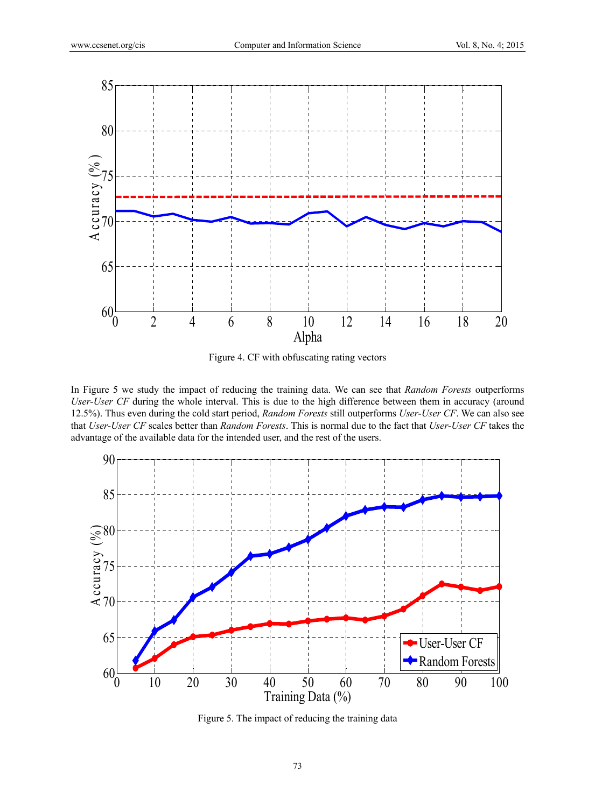

Figure 4. CF with obfuscating rating vectors

In Figure 5 we study the impact of reducing the training data. We can see that *Random Forests* outperforms *User-User CF* during the whole interval. This is due to the high difference between them in accuracy (around 12.5%). Thus even during the cold start period, *Random Forests* still outperforms *User-User CF*. We can also see that *User-User CF* scales better than *Random Forests*. This is normal due to the fact that *User-User CF* takes the advantage of the available data for the intended user, and the rest of the users.



Figure 5. The impact of reducing the training data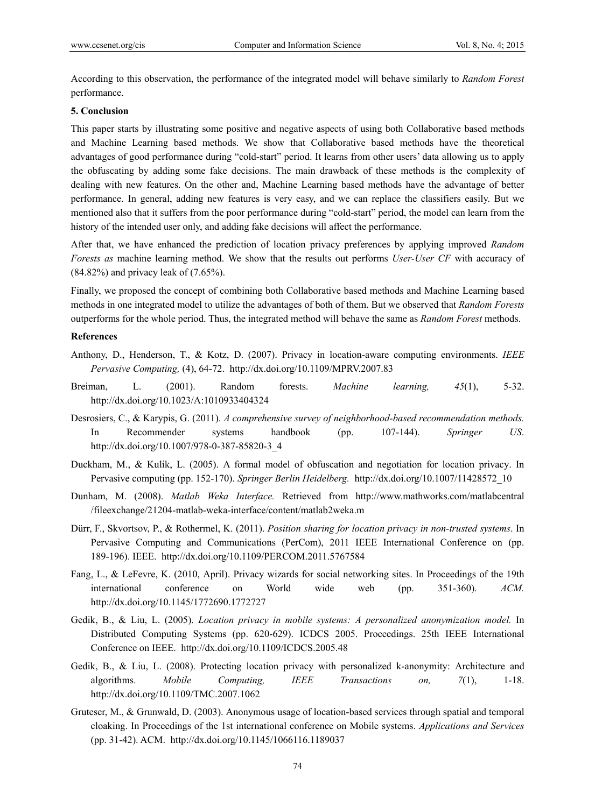According to this observation, the performance of the integrated model will behave similarly to *Random Forest*  performance.

## **5. Conclusion**

This paper starts by illustrating some positive and negative aspects of using both Collaborative based methods and Machine Learning based methods. We show that Collaborative based methods have the theoretical advantages of good performance during "cold-start" period. It learns from other users' data allowing us to apply the obfuscating by adding some fake decisions. The main drawback of these methods is the complexity of dealing with new features. On the other and, Machine Learning based methods have the advantage of better performance. In general, adding new features is very easy, and we can replace the classifiers easily. But we mentioned also that it suffers from the poor performance during "cold-start" period, the model can learn from the history of the intended user only, and adding fake decisions will affect the performance.

After that, we have enhanced the prediction of location privacy preferences by applying improved *Random Forests as* machine learning method. We show that the results out performs *User-User CF* with accuracy of (84.82%) and privacy leak of (7.65%).

Finally, we proposed the concept of combining both Collaborative based methods and Machine Learning based methods in one integrated model to utilize the advantages of both of them. But we observed that *Random Forests*  outperforms for the whole period. Thus, the integrated method will behave the same as *Random Forest* methods.

## **References**

- Anthony, D., Henderson, T., & Kotz, D. (2007). Privacy in location-aware computing environments. *IEEE Pervasive Computing,* (4), 64-72. http://dx.doi.org/10.1109/MPRV.2007.83
- Breiman, L. (2001). Random forests. *Machine learning, 45*(1), 5-32. http://dx.doi.org/10.1023/A:1010933404324
- Desrosiers, C., & Karypis, G. (2011). *A comprehensive survey of neighborhood-based recommendation methods.* In Recommender systems handbook (pp. 107-144). *Springer US*. http://dx.doi.org/10.1007/978-0-387-85820-3\_4
- Duckham, M., & Kulik, L. (2005). A formal model of obfuscation and negotiation for location privacy. In Pervasive computing (pp. 152-170). *Springer Berlin Heidelberg.* http://dx.doi.org/10.1007/11428572\_10
- Dunham, M. (2008). *Matlab Weka Interface.* Retrieved from http://www.mathworks.com/matlabcentral /fileexchange/21204-matlab-weka-interface/content/matlab2weka.m
- Dürr, F., Skvortsov, P., & Rothermel, K. (2011). *Position sharing for location privacy in non-trusted systems*. In Pervasive Computing and Communications (PerCom), 2011 IEEE International Conference on (pp. 189-196). IEEE. http://dx.doi.org/10.1109/PERCOM.2011.5767584
- Fang, L., & LeFevre, K. (2010, April). Privacy wizards for social networking sites. In Proceedings of the 19th international conference on World wide web (pp. 351-360). *ACM.* http://dx.doi.org/10.1145/1772690.1772727
- Gedik, B., & Liu, L. (2005). *Location privacy in mobile systems: A personalized anonymization model.* In Distributed Computing Systems (pp. 620-629). ICDCS 2005. Proceedings. 25th IEEE International Conference on IEEE. http://dx.doi.org/10.1109/ICDCS.2005.48
- Gedik, B., & Liu, L. (2008). Protecting location privacy with personalized k-anonymity: Architecture and algorithms. *Mobile Computing, IEEE Transactions on, 7*(1), 1-18. http://dx.doi.org/10.1109/TMC.2007.1062
- Gruteser, M., & Grunwald, D. (2003). Anonymous usage of location-based services through spatial and temporal cloaking. In Proceedings of the 1st international conference on Mobile systems. *Applications and Services*  (pp. 31-42). ACM. http://dx.doi.org/10.1145/1066116.1189037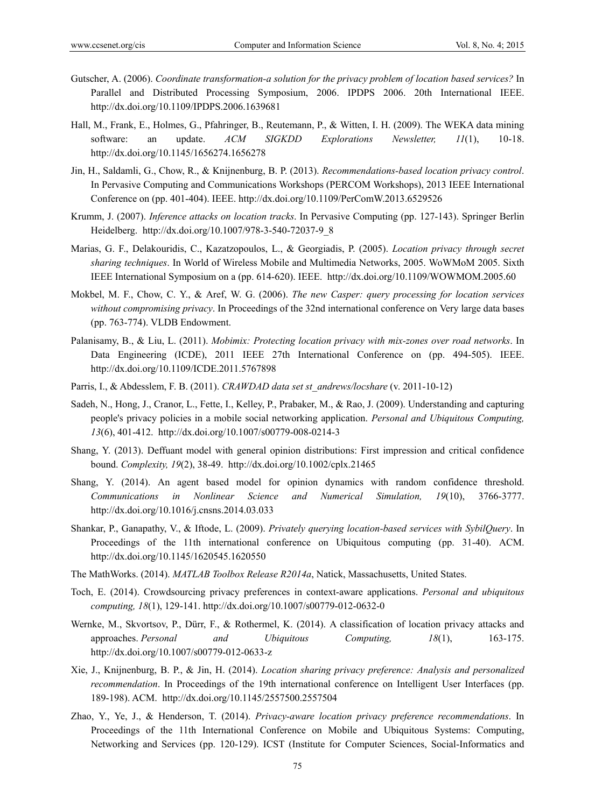- Gutscher, A. (2006). *Coordinate transformation-a solution for the privacy problem of location based services?* In Parallel and Distributed Processing Symposium, 2006. IPDPS 2006. 20th International IEEE. http://dx.doi.org/10.1109/IPDPS.2006.1639681
- Hall, M., Frank, E., Holmes, G., Pfahringer, B., Reutemann, P., & Witten, I. H. (2009). The WEKA data mining software: an update. *ACM SIGKDD Explorations Newsletter, 11*(1), 10-18. http://dx.doi.org/10.1145/1656274.1656278
- Jin, H., Saldamli, G., Chow, R., & Knijnenburg, B. P. (2013). *Recommendations-based location privacy control*. In Pervasive Computing and Communications Workshops (PERCOM Workshops), 2013 IEEE International Conference on (pp. 401-404). IEEE. http://dx.doi.org/10.1109/PerComW.2013.6529526
- Krumm, J. (2007). *Inference attacks on location tracks*. In Pervasive Computing (pp. 127-143). Springer Berlin Heidelberg. http://dx.doi.org/10.1007/978-3-540-72037-9\_8
- Marias, G. F., Delakouridis, C., Kazatzopoulos, L., & Georgiadis, P. (2005). *Location privacy through secret sharing techniques*. In World of Wireless Mobile and Multimedia Networks, 2005. WoWMoM 2005. Sixth IEEE International Symposium on a (pp. 614-620). IEEE. http://dx.doi.org/10.1109/WOWMOM.2005.60
- Mokbel, M. F., Chow, C. Y., & Aref, W. G. (2006). *The new Casper: query processing for location services without compromising privacy*. In Proceedings of the 32nd international conference on Very large data bases (pp. 763-774). VLDB Endowment.
- Palanisamy, B., & Liu, L. (2011). *Mobimix: Protecting location privacy with mix-zones over road networks*. In Data Engineering (ICDE), 2011 IEEE 27th International Conference on (pp. 494-505). IEEE. http://dx.doi.org/10.1109/ICDE.2011.5767898
- Parris, I., & Abdesslem, F. B. (2011). *CRAWDAD data set st\_andrews/locshare* (v. 2011-10-12)
- Sadeh, N., Hong, J., Cranor, L., Fette, I., Kelley, P., Prabaker, M., & Rao, J. (2009). Understanding and capturing people's privacy policies in a mobile social networking application. *Personal and Ubiquitous Computing, 13*(6), 401-412. http://dx.doi.org/10.1007/s00779-008-0214-3
- Shang, Y. (2013). Deffuant model with general opinion distributions: First impression and critical confidence bound. *Complexity, 19*(2), 38-49. http://dx.doi.org/10.1002/cplx.21465
- Shang, Y. (2014). An agent based model for opinion dynamics with random confidence threshold. *Communications in Nonlinear Science and Numerical Simulation, 19*(10), 3766-3777. http://dx.doi.org/10.1016/j.cnsns.2014.03.033
- Shankar, P., Ganapathy, V., & Iftode, L. (2009). *Privately querying location-based services with SybilQuery*. In Proceedings of the 11th international conference on Ubiquitous computing (pp. 31-40). ACM. http://dx.doi.org/10.1145/1620545.1620550
- The MathWorks. (2014). *MATLAB Toolbox Release R2014a*, Natick, Massachusetts, United States.
- Toch, E. (2014). Crowdsourcing privacy preferences in context-aware applications. *Personal and ubiquitous computing, 18*(1), 129-141. http://dx.doi.org/10.1007/s00779-012-0632-0
- Wernke, M., Skvortsov, P., Dürr, F., & Rothermel, K. (2014). A classification of location privacy attacks and approaches. *Personal and Ubiquitous Computing, 18*(1), 163-175. http://dx.doi.org/10.1007/s00779-012-0633-z
- Xie, J., Knijnenburg, B. P., & Jin, H. (2014). *Location sharing privacy preference: Analysis and personalized recommendation*. In Proceedings of the 19th international conference on Intelligent User Interfaces (pp. 189-198). ACM. http://dx.doi.org/10.1145/2557500.2557504
- Zhao, Y., Ye, J., & Henderson, T. (2014). *Privacy-aware location privacy preference recommendations*. In Proceedings of the 11th International Conference on Mobile and Ubiquitous Systems: Computing, Networking and Services (pp. 120-129). ICST (Institute for Computer Sciences, Social-Informatics and